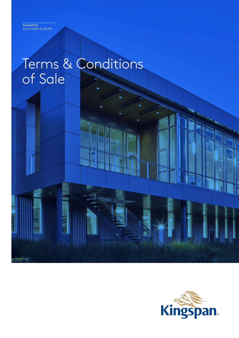# Terms & Conditions of Sale

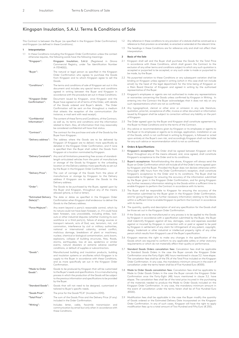# Kingspan Insulation, S.A.U. Terms & Conditions of Sale

This Contract is between the Buyer (as specified in the Kingspan Order Confirmation) and Kingspan (as defined in these Conditions).

#### **1 Interpretation**

- 1.1 In these Conditions including the Kingspan Order Confirmation unless the context otherwise requires, the following words have the following meanings:
	- "Kingspan": Kingspan Insulation, S.A.U. (Registered in Girona Commercial Registry, under Tax Identification Number A-17014002). "Buyer": The natural or legal person as specified in the Kingspan Order Confirmation who agrees to purchase the Goods from Kingspan and to whom Kingspan agree to sell the Goods. "Conditions": The terms and conditions of sale of Kingspan set out in this document and includes any special terms and conditions agreed in writing between the Buyer and Kingspan in accordance with the procedure set out in these Conditions. "Kingspan Order Document issued by Kingspan, once Kingspan and the Buyer have agreed on all of terms of the Order, with details of the Goods ordered and Buyer's details. The Order Confirmation will be sent on-line throughout a medium that attests the reception of the communication (for instance, e-mail sent with read receipt). "Confidential The content of these Terms and Conditions, of the Contract, as well as, its terms and conditions and the information related to them. Also, all information that may reasonably be considered confidential will have that status. "Contract": The contract for the purchase and sale of the Goods by the Buyer from Kingspan. "Delivery address": The address where the Goods are to be delivered by Kingspan (if Kingspan are to deliver) more specifically as detailed in the Kingspan Order Confirmation, and if none is specified then the Buyer shall collect the Goods from Kingspan at a location nominated by Kingspan. "Delivery Constraint": Any and all limitations preventing free access of standardlength articulated vehicles from the point of manufacture or storage of the Goods by Kingspan to the unloading location on the Delivery address more specifically as set out by the Buyer in the Kingspan Order Confirmation. "Delivery Price": The cost of carriage of the Goods from the place of manufacture or storage by Kingspan to the Delivery address if Kingspan are to deliver the Goods to the Delivery address. "Order": The Goods to be purchased by the Buyer, agreed upon by the Buyer and Kingspan, throughout any of the means allowed (phone, e-mail or letter). "Estimated Delivery The date or dates as specified in the Kingspan Order Confirmation when Kingspan shall endeavour to deliver the Goods to the Delivery address. "Force Majeure": Any event beyond a party's reasonable control, which by its nature could not have been foreseen, or, if it could have been foreseen, was unavoidable, including strikes, lockouts or other industrial disputes (whether involving its own workforce or a third party's), failure of energy sources or transport network, acts of God, war, terrorism, riot, civil commotion, interference by civil or military authorities, national or international calamity, armed conflict, malicious damage, breakdown of plant or machinery, nuclear, chemical or biological contamination, sonic boom, explosions, collapse of building structures, fires, floods, storms, earthquakes, loss at sea, epidemics or similar events, natural disasters or extreme adverse weather conditions, or default of supplies or subcontractors. "Goods": Manufactured building and insulation products, building and insulation systems or ancillaries which Kingspan is to supply to the Buyer in accordance with these Conditions and as more specifically set out in the Kingspan Order Confirmation. "Made to Order Goods to be produced by Kingspan that will be customized to the Buyer's needs and specifications. It is a manufacturing process in which the production of the Goods will be subject to the previous information and specifications to be provided by the Buyer. "Standard Goods": Goods that will not need to be designed, customized or tailored to Buyer's specific needs. "Goods Price": The price for the Goods"FCA" (Incoterms 2010). Confirmation": Information": Goods": Date(s)":
	- "Total Price": The sum of the Goods Price and the Delivery Price (if any) included in the Order Confirmation. "Writing": Includes letter, cable, facsimile transmission and
	- communication by email but only when in accordance with these Conditions.
- 1.2 Any reference in these conditions to any provision of a statute shall be construed as a reference to that provision as amended, re-enacted or extended at the relevant time.
- 1.3 The headings in these Conditions are for reference only and shall not affect their interpretation.

# **2 Basis of the Sale**

- 2.1 Kingspan shall sell and the Buyer shall purchase the Goods for the Total Price in accordance with these Conditions, which shall govern the Contract to the exclusion of any other terms and conditions subject to which any such quotation is accepted or purported to be accepted, or any such order is made or purported to be made, by the Buyer.
- 2.2 No purported variation to these Conditions or any subsequent variation shall be binding on Kingspan unless agreed in writing (which in this case shall not include email) by the head of the legal department for the time being of Kingspan or a Main Board Director of Kingspan and agreed in writing by the authorised representative of the Buyer.
- 2.3 Kingspan's employees or agents are not authorised to make any representations or warranties concerning the Goods unless confirmed by Kingspan in Writing. In entering into the Contract the Buyer acknowledges that it does not rely on any such representations which are not so confirmed.
- 2.4 Any typographical, clerical or other error or omission in any sale literature, quotation, price list, acceptance of offer, invoice or other document or information issued by Kingspan shall be subject to correction without any liability on the part of Kingspan.
- 2.5 The Order agreed upon by the Buyer and Kingspan shall constitute agreement by the Buyer to these Conditions and to the terms of the Contract.
- 2.6 Any advice or recommendations given by Kingspan or its employees or agents to the Buyer or its employees or agents as to storage, application, installation or use of the Goods, which is not confirmed in writing by Kingspan, is followed or acted upon entirely at the Buyer's own risk, and accordingly Kingspan shall not be liable for any such advice or recommendation which is not so confirmed.

#### **3 Orders & Specifications**

- 3.1 Kingspan's acceptance: The Order shall be agreed between Kingspan and the Buyer throughout any of the means allowed, and, once agreed, shall constitute Kingspan's acceptance to the Order and to its conditions.
- 3.2 Buyer's acceptance: Notwithstanding the above, Kingspan will always send the Buyer an Order Confirmation which will include all of the Order's terms agreed upon by Kingspan and the Buyer. Provided the Buyer does not declare otherwise within forty-eight (48) hours from the Order Confirmation's reception, shall constitute Kingspan's acceptance to the Order and to its conditions. The Buyer shall be responsible to Kingspan for ensuring the accuracy of the information submitted by the Buyer given in the Kingspan Order Confirmation, and for giving Kingspan any further necessary information relating to the Goods within a sufficient time to enable Kingspan to perform the Contract in accordance with its terms.
- 3.3 The Buyer shall be responsible to Kingspan for ensuring the accuracy of the information submitted by the Buyer given in the Kingspan Order Confirmation, and for giving Kingspan any further necessary information relating to the Goods within a sufficient time to enable Kingspan to perform the Contract in accordance with its terms.
- 3.4 The quantity, quality and description of and any specification for the Goods shall be those set out in the Kingspan Order Confirmation.
- 3.5 If the Goods are to be manufactured or any process is to be applied to the Goods by Kingspan in accordance with a specification submitted by the Buyer, the Buyer shall indemnify Kingspan against all loss, damages, costs and expenses awarded against or incurred by Kingspan in connection with or paid or agreed to be paid by Kingspan in settlement of any claim for infringement of any patent, copyright, design, trademark or other industrial or intellectual property rights of any other person which results from Kingspan's use of the Buyer's specification.
- 3.6 Kingspan reserves the right to make any changes in the specification of the Goods which are required to conform to any applicable safety or other statutory requirements or which do not materially affect their quality or performance.
- 3.7 Standard Goods Orders cancelation fees: Cancelation fees shall be applicable to Standard Goods Orders in the case the Buyer cancels the Kingspan Order Confirmation once the Forty-Eight (48) hours mentioned in clause 3.2. have elapse. The cancelation fees shall be of the 5% of the Total Price included on the Kingspan Order Confirmation. In any case, the mandatory minimum amount in the event of cancellation under the terms herein shall be of Five Hundred Euro (€500).
- 3.8 Made to Order Goods cancelation fees: Cancelation fees shall be applicable to Made to Order Goods Orders in the case the Buyer cancels the Kingspan Order Confirmation once the Forty-Eight (48) hours mentioned in clause 3.2. have elapse. The cancelation fees shall be of the total price incurred in the purchasing of the materials needed to produce the Made to Order Goods included on the Kingspan Order Confirmation. In any case, the mandatory minimum amount in the event of cancellation under the terms herein shall be of Five Hundred Euro (€500).
- 3.9 Modification fees shall be applicable in the case the Buyer modify the quantity of Goods ordered or the Estimated Delivery Date incorporated on the Kingspan Order Confirmation. In any of such cases, Kingspan will have the right to apply modification fees up to a total amount of Two Hundred and Fifty Euro (€ 250).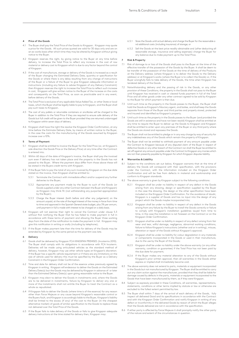# **4 Price of the Goods**

- 4.1 The Buyer shall pay the Total Price of the Goods to Kingspan. Kingspan may quote a price for the Goods. All such prices quoted are valid for 30 days only and are on an ex-works basis after which time they may be altered by Kingspan without giving notice to the Buyer.
- 4.2 Kingspan reserves the right, by giving notice to the Buyer at any time before delivery, to increase the Total Price to reflect any increase in the cost of raw material or delivery cost to Kingspan which is due to any factor beyond the control of Kingspan.
- 4.3 If the cost of manufacture, storage or delivery of the Goods is increased as a result of the Buyer changing the Estimated Delivery Date, quantity or specification for the Goods or where there is any delay resulting from any change of instructions of the Buyer or a failure of the Buyer to give Kingspan adequate information or instructions (including any failure to advise Kingspan of any Delivery Constraint) then Kingspan reserves the right to increase the Total Price to reflect such increase in cost, Kingspan will give written notice to the Buyer of the increase on the costs and consequently on the Total Price, as soon as practicable and in any event, before delivery of the Goods.
- 4.4 The Total Price is exclusive of any applicable Value Added Tax, or other State or local taxes, which the Buyer shall be legally liable to pay to Kingspan, and the Buyer shall pay such taxes to Kingspan.
- 4.5 The cost of any pallets or returnable containers or ancillaries will be charged to the Buyer in addition to the Total Price if they are required to ensure safe delivery of the Goods but full credit will be given to the Buyer provided they are returned undamaged to Kingspan within seven days of delivery.
- 4.6 Kingspan shall have the right the resolve the Kingspan Order Confirmation, at any time before the Estimate Delivery Date, by means of written notice to the Buyer in the case the costs for the manufacturing of the Goods assumed by Kingspan increase over a 10%.

# **5 Terms of Payment**

- 5.1 Kingspan shall be entitled to invoice the Buyer for the Total Price (or, at Kingspan's sole direction the Goods Price or the Delivery Price) at any time after the Contract is entered into.
- 5.2 Within 60 days of the date of Kingspan's invoice, the Buyer shall pay the invoiced sum even if delivery has not taken place and the property in the Goods has not passed to the Buyer. Where the payment days differ from those above these will be stated in the Buyers credit terms with Kingspan.
- 5.3 If the Buyer fails to pay the total of any sum invoiced by Kingspan on the due date stated on the invoice, then Kingspan shall be entitled to:
	- 5.3.1 Terminate the Contract with immediate effect and/or suspend any further deliveries to the Buyer;
	- 5.3.2 Appropriate any payment made by the Buyer to such of the Goods (or Goods supplied under any other Contract between the Buyer and Kingspan) as Kingspan may think fit (not withstanding any purported appropriation by the Buyer);
	- 5.3.3 Charge the Buyer interest (both before and after any judgement) on the amount unpaid, at the rate of the legal interest of the money in force from time to time and approved in the Spanish General state budget, plus 3% per annum, until payment in full is made with interest to be charged on a daily basis.
- 5.4 Kingspan will not exercise their right to cancel the Contract under clause 5.3 without first notifying the Buyer that he has failed to make payment in full in accordance with these terms of payment and allowing the Buyer three working days from the date of the notification to make the payment in full. Kingspan may give this notification in writing or orally (including by telephone);
- 5.5 If the Buyer makes payment late then the time for delivery of the Goods may be extended by Kingspan by the same period as the payment was late.

# **6 Delivery**

- 6.1 Goods shall be delivered by Kingspan FCA KINGSPAN PREMISES (Incoterms 2010). The Buyer shall comply with its obligations in accordance with FCA Incoterm. Deliveries will be made using articulated vehicles as the standard method of delivery, however, Kingspan may use other vehicle types at Kingspan's discretion. If the Buyer has a specific vehicle requirement or if there are any limitations on the size of vehicle used for delivery this must be specified by the Buyer as a Delivery Constraint in the Kingspan Order Confirmation.
- 6.2 Time and date for delivery shall not be of the essence unless previously agreed by Kingspan in writing. Kingspan will endeavour to deliver the Goods on the Estimated Delivery Date(s) but the Goods may be delivered by Kingspan in advance of or later than the Estimated Delivery Date(s) upon giving reasonable notice to the Buyer.
- 6.3 Kingspan may elect to deliver the Goods in instalments and, where the Goods are to be delivered in instalments, failure by Kingspan to deliver any one or more of the instalments shall not entitle the Buyer to treat the Contract as a whole as repudiated.
- 6.4 If Kingspan fails to deliver the Goods (where time is of the essence) for any reason other than Force Majeure or any cause beyond Kingspan's reasonable control or the Buyers fault, and Kingspan is accordingly liable to the Buyer, Kingspan's liability shall be limited to the excess (if any) of the cost to the Buyer (in the cheapest alternative market) of goods of similar specification to the Goods to replace those not delivered over the Total Price of the Goods.
- 6.5 If the Buyer fails to take delivery of the Goods or fails to give Kingspan adequate delivery instructions at the time stated for delivery then, Kingspan may:
- 6.5.1 Store the Goods until actual delivery and charge the Buyer for the reasonable a nd additional costs (including insurance) of storage; or
- 6.5.2 Sell the Goods at the best price readily obtainable and (after deducting all reasonable storage, insurance and selling expenses) charge the Buyer for any balance due to make payment up to the Total Price.

# **7 Risk & Property**

- 7.1 Risk of damage to or loss of the Goods shall pass to the Buyer at the time of the effective transfer of the possession of the Goods by the Buyer. It shall be deem to be transfer of the possession of the Goods at the time of delivery of the Products at the Delivery address (where Kingspan is to deliver the Goods to the Delivery address) or at Kingspan's works (where the Buyer is to collect the Goods) or, if the Buyer wrongfully fails to take delivery of the Goods, the time when Kingspan has tendered delivery of the Goods.
- Notwithstanding delivery and the passing of risk in the Goods, or any other provision of these Conditions, the property in the Goods shall not pass to the Buyer until Kingspan has received in cash or cleared funds payment in full of the Total Price and all other goods under any other contract agreed to be sold by Kingspan to the Buyer for which payment is then due.
- 7.3 Until such time as the property in the Goods passes to the Buyer, the Buyer shall hold the Goods as Kingspan's fiduciary agent, and bailee, and shall keep the Goods separate from those of the Buyer and third parties and properly stored, protected and insured and identified as Kingspan's property.
- 7.4 Until such time as the property in the Goods passes to the Buyer (and provided the Goods are still in existence and have not been resold) Kingspan shall be entitled at any time to require the Buyer to deliver up the Goods to Kingspan and Kingspan shall be entitled to enter upon any premises of the Buyer or any third party where the Goods are stored and repossess the Goods.
- 7.5 The Buyer shall not be entitled to pledge or in any way charge by way of security for any indebtedness any of the Goods which remain the property of Kingspan.
- 7.6 The Buyer shall not be entitled to withhold payment of any amount payable under the Contract to Kingspan because of any disputed claim of the Buyer in respect of defective Goods or any other breach of the Contract nor shall the Buyer be entitled to set off against any amount payable under the Contract to Kingspan any monies which are not then presently payable by Kingspan for which Kingspan disputes liability.

# **8 Warranties & Liability**

- 8.1 Subject to the conditions set out below, Kingspan warrants that at the time of delivery the Goods will correspond with their specification, with the provisions under the Contract, with the information included on the Kingspan Order Confirmation and will be free from defects in material and workmanship and conform to Kingspan standards.
- 8.2 The above warranty is given by Kingspan subject to the following conditions:
	- 8.2.1 Kingspan shall be under no liability in respect of any defect in the Goods arising from any drawing, design or specification supplied by the Buyer in the case the drawing, the design or the other specification have been included on the Kingspan Order Confirmation. For the avoidance of doubt, Kingspan is a supplier of Goods and has no input into the design of any project which the Goods maybe incorporated into;
	- 8.2.2 Kingspan shall be under no liability in respect of any defect in the Goods arising from any failure by the Buyer to install the Goods correctly or failure to comply with Kingspan's installation guidelines issued from time to time, in the case the installation is not foreseen on the Contract or on the Kingspan Order Confirmation.
	- 8.2.3 Kingspan shall be under no liability in respect of any defect arising from fair wear and tear, wilful damage, negligence, abnormal working conditions, failure to follow Kingspan's instructions (whether oral or in writing), misuse, alteration or repair of the Goods without Kingspan's approval;
	- 8.2.4 Kingspan shall be under no liability for colour degradation in any materials or components incorporated in the Goods or used in their manufacture, due to the use by the Buyer of the Goods;
	- 8.2.5 Kingspan shall be under no liability under the above warranty (or any other warranty, condition or guarantee) if the Total Price has not been paid by the due date for payment;
	- 8.2.6 If the Buyer makes any material alteration to any of the Goods without Kingspan's prior written approval, then all warranties in the Goods either express or implied shall immediately become void.
- 8.3 The above warranty does not extend to parts, materials or equipment incorporated in the Goods but not manufactured by Kingspan. The Buyer shall be entitled to carry out any claim action against the manufacturer, provided that they shall be liable for damage caused by defects in the parts, materials or equipment incorporated to the Goods that have been manufactured by them, as if they were Kingspan.
- 8.4 Subject as expressly provided in these Conditions, all warranties, representations, statements, conditions or other terms implied by statute or law or otherwise are excluded to the fullest extent permitted by law.
- 8.5 The Buyer shall within 7 days of the arrival of each delivery of the Goods, fully inspect all delivered Good and its specifications in accordance with the Contract and with the Kingspan Order Confirmation and notify Kingspan in writing of any defect or inconformity in the delivered Goods by reason of which the Buyer alleges that the Goods delivered are not in accordance with the specification.
- 8.6 If either party is affected by Force Majeure it shall promptly notify the other party of the nature and extent of the circumstances in question.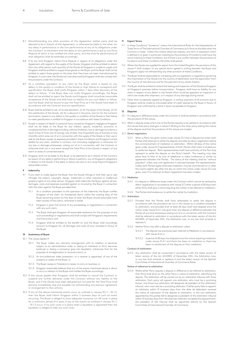- 8.7 Notwithstanding any other provision of this Agreement neither party shall be deemed to be in breach of this Agreement, or otherwise be liable to the other, for any delay in performance or the non-performance of any of its obligations under this Contract, to the extent that the delay or non-performance is due to any Force Majeure of which it has notified the other party, and the time for performance of that obligation shall be extended accordingly.
- 8.8 If at any time Kingspan claims Force Majeure in respect of its obligations under this Agreement with regard to the supply of the Goods, Kingspan shall be entitled to obtain from any other person such quantity of the Goods as Kingspan is unable to supply and Kingspan shall be entitled to supply those goods to the Buyer and the Buyer shall not be entitled to reject those goods on the basis that they have not been manufactured by Kingspan. In such case, the Goods not manufactured by Kingspan shall also comply with the provisions under the Contract.
- 8.9 As a condition precedent to any claim by the Buyer which is based on any defect in the quality or condition of the Goods or their failure to correspond with specification the Buyer shall notify Kingspan within 7 days after discovery of the defect or failure. If the Buyer does not notify Kingspan accordingly, the Buyer shall not be entitled to reject the Goods and Kingspan shall constitute irrevocable acceptance of the Goods and shall have no liability for any such defect or failure, and the Buyer shall be bound to pay the Total Price as if the Goods have been in ccordance with the Contract and any specification
- 8.10 Buyer shall be entitled to ask, at its sole discretion, (i) for the repair of the Goods, (ii) for the substitution of the Goods, (iii) for a discount in the price; and (iv) for the Contract termination, based on any defect in the quality or condition of the Goods or their failure to meet specification is notified to Kingspan in accordance with these Conditions.
- 8.11 Except in respect of death or personal injury caused by Kingspan's negligence Kingspan shall not be liable to the Buyer for any indirect, special, incidental, economic or consequential loss or damage including, without limitation, loss or damage incurred as a result of loss of time, loss of savings, loss of data, loss of goodwill, loss of business or loss of profits which arise out of or in connection with the supply of the Goods or their use or sale by the Buyer, except as expressly provided in these Conditions and Kingspan's entire liability for any claim, whether in contract, tort (including negligence) or otherwise, for any loss or damage whatsoever, arising out of or in connection with the Contract or otherwise shall not in any event exceed the Total Price of the Goods in respect of any event or series of connected events.
- 8.12 Kingspan shall not be liable to the Buyer or be deemed to be in breach of the Contract by reason of any delay in performing or failure to perform, any of Kingspan's obligations in relation to the Goods, if the delay or failure was due to any cause beyond Kingspan's reasonable control.

#### **9 Indemnity**

- 9.1 If any claim is made against the Buyer that the Goods infringe or that their use or sale infringes the patent, copyright, design, trademark or other industrial or intellectual property rights of any other person, Kingspan shall indemnify the Buyer against all loss, damages, costs and expenses awarded against or incurred by the Buyer in connection with the claim against the Buyer provided that:
	- 9.1.1 As a condition precedent to the operation of this indemnity the Buyer notifies Kingspan of the claim (or threatened claim) within five working days of the Buyer becoming aware (or five days of when the Buyer should reasonably have been aware) of the claims, whichever is earlier.
	- 9.1.2 Kingspan is given full control of any proceedings or negotiations in connection with any such claim;
	- 9.1.3 The Buyer shall give Kingspan all reasonable assistance for the purposes of any such proceedings or negotiations and shall comply with Kingspan's requirements and instructions; and
	- 9.1.4 Kingspan shall be entitled to the benefit of, and the Buyer shall accordingly account to Kingspan for, all damages and costs (if any) awarded in favour of the Buyer.

# **10 Insolvency of Buyer**

# 10.1 This clause applies if:

- 10.1.1 The Buyer makes any voluntary arrangement with its creditors or becomes subject to an administration order or (being an individual or firm) becomes bankrupt or (being a company) goes into liquidation (otherwise than for the purposes of amalgamation or reconstruction); or
- 10.1.2 An encumbrancer takes possession, or a receiver is appointed, of any of the property or assets of the Buyer; or
- 10.1.3 The Buyer ceases or threatens to cease, to carry on business; or
- 10.1.4 Kingspan reasonably believes that any of the events mentioned above is about to occur in relation to the Buyer and notifies the Buyer accordingly.
- 10.2 If this clause applies then Kingspan shall be entitled to cancel the Contract or suspend any further deliveries under the Contract without any liability to the Buyer, and if the Goods have been delivered but not paid for the Total Price shall become immediately due and payable not withstanding any previous agreement or arrangement to the contrary.
- 10.3 If any of the above mentioned events occur as outlined in clauses 10.1.1 10.1.3, then the Buyer shall inform Kingspan within 5 business days of such an event occurring. The Buyer is obliged to have adequate insurance run off cover in place for a minimum period of 6 years if any of the events as outlined in clauses 10.1.1 - 10.1.3 occur. If no such cover is in place when a liquidator is appointed then the liquidator is obliged to take out such cover.

# **11 Export Terms**

- 11.1 In these Conditions "Incoterms" means the International Rules for the Interpretation of Trade Terms of The International Chamber of Commerce as in force at the date when the Contract is made. Unless the context otherwise requires, any term or expression which is defined in or given in particular meaning by the provisions of Incoterms shall have the same meaning in these Conditions, but if there is any conflict between the provisions of Incoterms and these Conditions the latter shall prevail.
- 11.2 Where the Goods are supplied for export from the United Kingdom the provisions of this clause 11 shall (subject to any special terms agreed in writing between the Buyer and Kingspan) apply not withstanding any other provision of these Conditions.
- 11.3 The Buyer shall be responsible for complying with any legislation or regulations governing the importation of the Goods into the country of destination and the exportation from the country of manufacture and for the payment of any duties thereon.
- 11.4 The Buyer shall be entitled to attend the testing and inspection of the Goods by Kingspan at Kingspan's premises before transportation. Kingspan shall have no liability for any claim in respect of any defect in the Goods which would be apparent on inspection or which are made after shipment, or in respect of any damage during transit.
- 11.5 Other than as expressly agreed by Kingspan, in writing, payment of all amounts due to Kingspan shall be made by irrevocable letter of credit opened by the Buyer in favour of Kingspan and confirmed by a bank in Spain acceptable to Kingspan.

### **12 Disputes**

- 12.1 If a dispute or difference arises under this Contract it shall be settled in accordance with the provisions of this clause.
- 12.2 When a dispute arises which one of the Parties requires to be settled in accordance with this clause that party shall give a notice in Writing to the other party stating the nature of the dispute and that the provisions of this clause are invoked.

#### 12.3 Direct negotiation

12.3.1 When a Party has given notice under clause 12.2 that a dispute has arisen both Parties shall attempt to settle the dispute amicably by direct negotiation before the commencement of mediation or arbitration. Within 28 days of the notice given under clause 12.2 representatives of both Parties shall meet to endeavour to settle the dispute. Both representatives shall have authority of the Part they represent to settle the dispute on the Party's behalf. The meeting may take place face to face or by way of telephone or video-conference or similar by agreement between the Parties. The status of the meeting shall be "without prejudice" unless and until agreement is reached between the representatives. Unless both Parties agree otherwise mediation may be commenced on or after the twenty eighth day after the day on which the notice under clause 12.2 was given, even if no attempt at direct negotiation has been madea.

# 12.4 Mediation

- 12.4.1 If a dispute or difference arises under this Contract which cannot be resolved by direct negotiations in accordance with clause 12.3 after a period of 28 days then either Party shall give a notice requiring the matter to be referred to mediation;
- 12.4.2 The Parties shall endeavour to settle the matter by mediation.

# 12.5 Arbitration

- 12.5.1 Provided that the Parties shall have attempted to settle the dispute in accordance with the procedure set out in this clause as a condition precedent to arbitration, and provided that at least 28 days shall have elapsed since the notice under clause 12.4.1 was given then any dispute or difference between the Parties of any kind whatsoever arising out of or in connection with this Contract shall be referred to arbitration in accordance with the latest version of the Act 60/2003, of December 23th, the Arbitration Law, or any law that amends or replaces it.
- 12.5.2 Neither Party may refer a dispute to arbitration unless:
	- 12.5.2.1 The dispute has previously been referred to Mediation in accordance with clause 12.4; or
	- 12.5.2.2 A period of 28 days has elapsed since the notice requiring mediation under clause 12.4.1 and there has been no mediation or there has been no settlement of the dispute at that mediation.

# Conduct of arbitration

12.5.3 Any arbitration shall be conducted in accordance with the latest version of latest version of the Act 60/2003, of December 23th, the Arbitration Law, or any law that amends or replaces it and the latest version of the Spanish Committee of International Chamber of Commerce Rates.

#### Notice of reference to arbitration

12.5.4 Where either Party requires a dispute or difference to be referred to arbitration, that Party shall serve on the other Party a notice of arbitration, identifying the dispute. The arbitration will be carried out by an arbitration tribunal with three arbitrators. Each party will appoint one arbitrator, who must be a practising lawyer, and those two arbitrators will designate de president of the arbitration tribunal, who must also be a practising arbitrator. If either party fails to appoint an arbitrator within 15 business days from the date de defendant received the notice of submission of the dispute to arbitration, or the two arbitrators appointed by the parties fail to designate a president of the arbitration tribunal within 15 business days from the date last arbitrator accepted the appointment the president of the tribunal shall be appointed directly by the Spanish Committee of International Chamber of Commerce.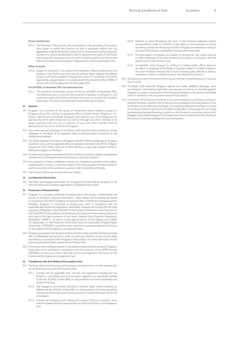# Powers of Arbitrator

12.5.5 The Arbitration Tribunal shall, without prejudice to the generality of his powers, have power to rectify this Contract so that it accurately reflects the true agreement made by the Parties, to direct such measurements and/or valuations as may in his opinion be desirable in order to determine the rights of the Parties and to ascertain and award any sum which should be paid by one Party to the other and to determine all matters in dispute which shall be submitted to him.

# Effect of award

12.5.6 Subject to clause 12.5.7 the award of the Arbitrators Tribunal shall be final and binding on the Parties and shall have res judicata effect. Against the referred award, it will only be possible to exercise the action for annulment and, where appropriate, request revision in accordance with the provisions of Act 1/2000, of January 7th, Civil Procedure Act, for final judgments.

#### Act 60/2003, of december 23th, the arbitration law

12.5.7 The provisions of the latest version of the Act 60/2003, of December 23th, the Arbitration Law, or any law that amends or replaces it shall apply to any arbitration under this Contract wherever the same, or any part of it, shall be conducted. The seat of the arbitration shall be Barcelona (Spain).

#### **13 General**

- Kingspan is a member of the group of companies whose holding company is Kingspan Group Plc, having its registered office at Dublin Road, Kingscourt, Co. Cavan, Ireland and accordingly Kingspan may perform any of its obligations or exercise any of its rights hereunder by itself or through any other member of its group, provided that any act or omission of any such other member shall be emed to be the act or omission of Kingspan.
- 13.2 Any notice required to be given to the Buyer under these Conditions shall be in writing addressed to the Buyer at its registered office or principal place of business or last notified email address.
- 13.3 Any notice required to be given to Kingspan shall be in Writing addressed to Kingspan Insulation, S.A.U, whit its registered office at Carretera Comarcal C-65, KM 16 – Polígono Industrial El Trust, 17244, Cassà de la Selva (Girona), or any other address notified in Writing by Kingspan to the Buyer.
- 13.4 No waiver by Kingspan of any breach of the Contract by the Buyer shall be considered as a waiver of any subsequent breach of the same or any other provision.
- 13.5 If any provision of these Conditions is held by any competent authority to be invalid or unenforceable in whole or in part the validity of the other provisions of these Conditions and the remainder of the provision in question shall not be affected thereby.
- 13.6 The Contract shall be governed by the laws of Spain.

#### **14 Confidential Information**

14.1 The Buyer and Kingspan shall enter into all agreements that shall be necessary to set forth the terms and conditions applicable to Confidential Information.

#### **15 Protection of Personal Data**

- 15.1 Kingspan is a company extremely concerned about the privacy, confidentiality and security of the Buyer's personal information. When selling and purchasing the Goods in accordance with these Conditions the personal data of the Buyer is being processed. Therefore, Kingspan is committed to process such data in compliance with the applicable data protection regulations. Specifically, Kingspan will comply with the legal provisions of Regulation (EU) 2016/679 of the European Parliament and of the Council of 27 April 2016 on the protection of individuals with regard to the processing of personal data and on the free movement of such data, (General Data Protection Regulation, hereinafter, "GDPR") , as well as to the legal provisions of the Organic Law 3/2018, of 5 December, on the Protection of Personal Data and Guarantee of Digital Rights (hereinafter "LOPDGDD"), and of any other rules that may be promulgated in the future on this matter and that replace or complement them.
- 15.2 Kingspan guarantees that all personal data and information provided shall be processed with confidentiality and security in order to avoid any alteration or loss of such data, and always in accordance with Kingspan's Privacy Policy. For more information on the processing of personal data, please see the Privacy Policy.
- 15.3 In the event that the Buyer receives or has access to personal data owned by Kingspan, these data will be processed in accordance with the provisions of the GDPR and the LOPDGDD, as well as any other rules that may be promulgated in the future on this matter and that replace or complement them.

# **16 Compliance with Anti-Bribery & Corruption Laws**

- 16.1 The Buyer shall and shall procure that persons associated with it or other persons who are involved in any way with this Contract shall:
	- 16.1.1 Comply with all applicable laws, statutes and regulations including but not limited to anti-bribery and anti-corruption legislation as specifically outlined in the Act 10/2010, of April 28th, on the prevention of money laundering and terrorist financing.
	- 16.1.2 Not engage in any activity, practice or conduct which would constitute an offence the Act 10/2010, of April 28th, on the prevention of money laundering and terrorist financing if such activity, practice or conduct had been carried out in the Spain;
	- 16.1.3 Comply with Kingspan's Anti- Bribery & Corruption Policy as currently in force and any update thereof a copy of which can be found at http://www.kingspan. com.
- 16.1.4 Maintain in place throughout the term of this Contract adequate policies and procedures under Act 10/2010, of April 28th, on the prevention of money laundering and terrorist financing and inform Kingspan immediately in writing in the case of any breach, investigation of prosecution thereunder;
- 16.1.5 Promptly report to Kingspan any request or demand for any undue financial or other advantage of any kind received by the Buyer in connection with the performance of this Contract; and
- 16.1.6 Immediately notify Kingspan in writing if a foreign public official becomes an officer or employee of the Buyer or acquires a direct or indirect interest in the (and the Buyer warrants that it has no foreign public officials as officers employees or direct or indirect owners at the date of this Contract).
- 16.2 Any breach of any of the terms of this Clause shall be a material breach in terms of the Contract.
- 16.3 The Buyer shall indemnify Kingspan against any losses, liabilities, damages, costs (including but not limited to legal fees) and expenses incurred by, or awarded against, Kingspan as a result of any breach of this Clause by the Buyer or any persons associated with it in connection with the performance of this Contract.
- 16.4 Any breach of this Clause by the Buyer or by anyone employed by the Buyer or acting on behalf of the Buyer (whether with or without the knowledge of the Intermediary) or the commission of any offence by the Buyer or by anyone employed by the Buyer or acting on the Buyer's behalf under the Act 10/2010, of April 28th, on the prevention of money laundering and terrorist financing, in relation to this Contract or any other contract with Kingspan, shall entitle Kingspan to terminate the Contract and recover from the Buyer the amount of any loss resulting from such termination.